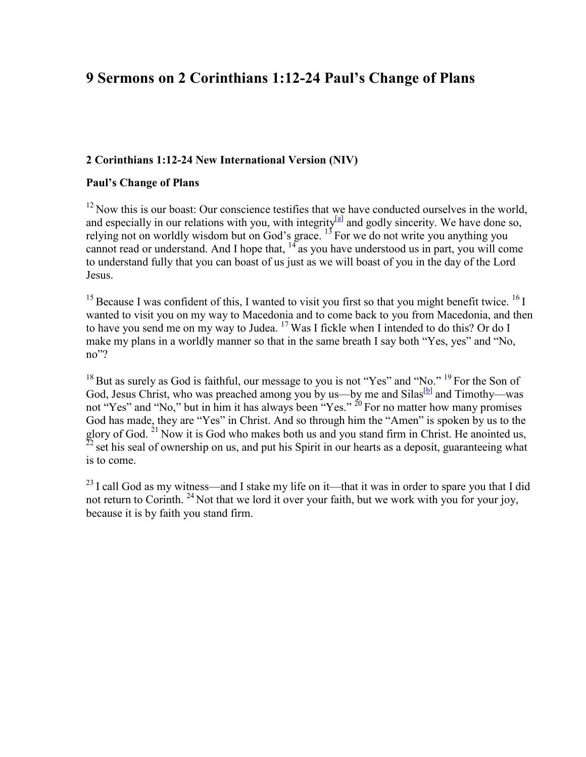# **9 Sermons on 2 Corinthians 1:12-24 Paul's Change of Plans**

### **2 Corinthians 1:12-24 New International Version (NIV)**

#### **Paul's Change of Plans**

 $12$  Now this is our boast: Our conscience testifies that we have conducted ourselves in the world, and especially in our relations with you, with integrity<sup>[a]</sup> and godly sincerity. We have done so, relying not on worldly wisdom but on God's grace.  $13$  For we do not write you anything you cannot read or understand. And I hope that,  $14$  as you have understood us in part, you will come to understand fully that you can boast of us just as we will boast of you in the day of the Lord Jesus.

<sup>15</sup> Because I was confident of this, I wanted to visit you first so that you might benefit twice. <sup>16</sup> I wanted to visit you on my way to Macedonia and to come back to you from Macedonia, and then to have you send me on my way to Judea. <sup>17</sup> Was I fickle when I intended to do this? Or do I make my plans in a worldly manner so that in the same breath I say both "Yes, yes" and "No, no"?

<sup>18</sup> But as surely as God is faithful, our message to you is not "Yes" and "No." <sup>19</sup> For the Son of God, Jesus Christ, who was preached among you by us—by me and Silas<sup>[b]</sup> and Timothy—was not "Yes" and "No," but in him it has always been "Yes." <sup>20</sup> For no matter how many promises God has made, they are "Yes" in Christ. And so through him the "Amen" is spoken by us to the glory of God.  $21$  Now it is God who makes both us and you stand firm in Christ. He anointed us,  $22$  set his seal of ownership on us, and put his Spirit in our hearts as a deposit, guaranteeing what is to come.

 $^{23}$  I call God as my witness—and I stake my life on it—that it was in order to spare you that I did not return to Corinth. <sup>24</sup> Not that we lord it over your faith, but we work with you for your joy, because it is by faith you stand firm.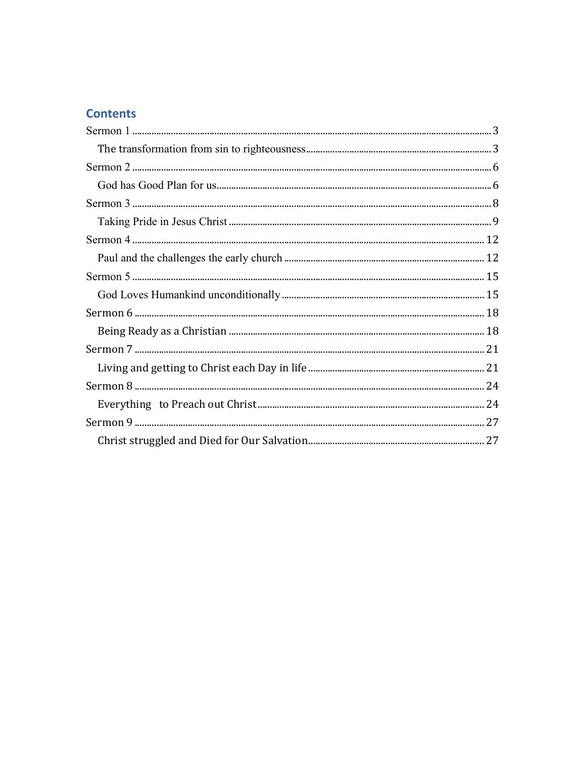# **Contents**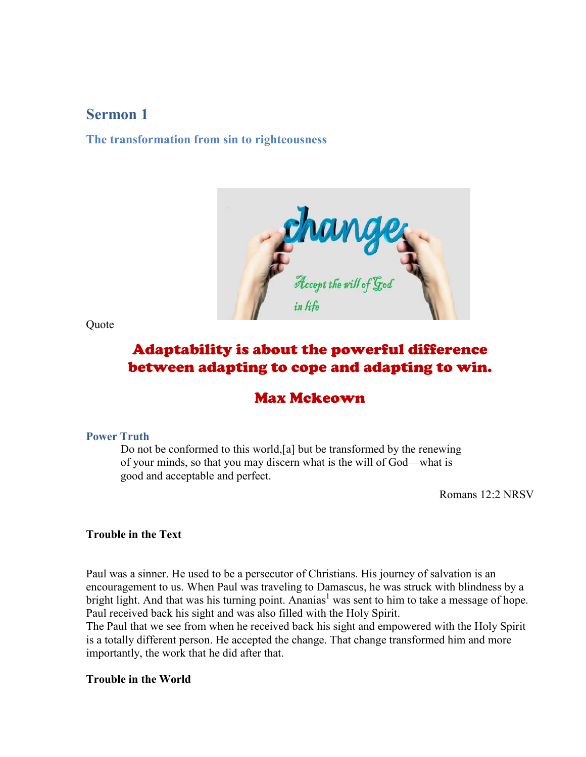# **Sermon 1**

#### **The transformation from sin to righteousness**



**Quote** 

# Adaptability is about the powerful difference between adapting to cope and adapting to win.

# Max Mckeown

#### **Power Truth**

Do not be conformed to this world,[a] but be transformed by the renewing of your minds, so that you may discern what is the will of God—what is good and acceptable and perfect.

Romans 12:2 NRSV

#### **Trouble in the Text**

Paul was a sinner. He used to be a persecutor of Christians. His journey of salvation is an encouragement to us. When Paul was traveling to Damascus, he was struck with blindness by a bright light. And that was his turning point. Ananias<sup>1</sup> was sent to him to take a message of hope. Paul received back his sight and was also filled with the Holy Spirit.

The Paul that we see from when he received back his sight and empowered with the Holy Spirit is a totally different person. He accepted the change. That change transformed him and more importantly, the work that he did after that.

**Trouble in the World**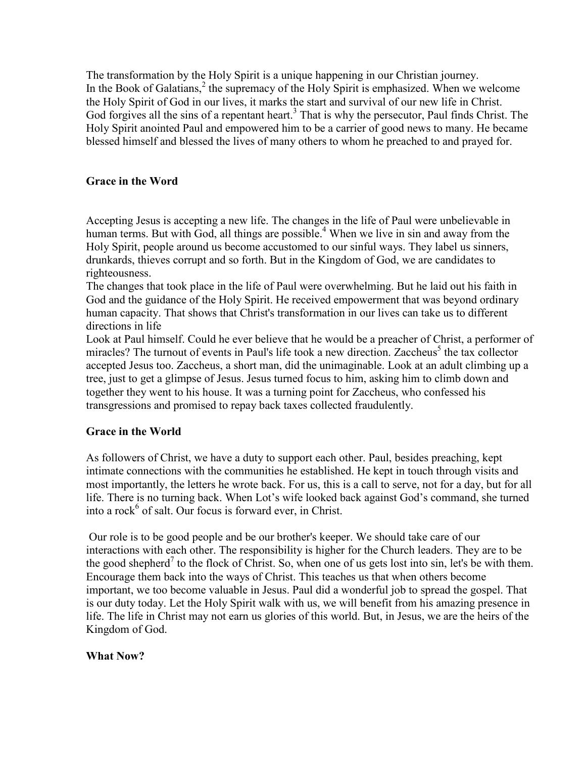The transformation by the Holy Spirit is a unique happening in our Christian journey. In the Book of Galatians,<sup>2</sup> the supremacy of the Holy Spirit is emphasized. When we welcome the Holy Spirit of God in our lives, it marks the start and survival of our new life in Christ. God forgives all the sins of a repentant heart.<sup>3</sup> That is why the persecutor, Paul finds Christ. The Holy Spirit anointed Paul and empowered him to be a carrier of good news to many. He became blessed himself and blessed the lives of many others to whom he preached to and prayed for.

## **Grace in the Word**

Accepting Jesus is accepting a new life. The changes in the life of Paul were unbelievable in human terms. But with God, all things are possible.<sup>4</sup> When we live in sin and away from the Holy Spirit, people around us become accustomed to our sinful ways. They label us sinners, drunkards, thieves corrupt and so forth. But in the Kingdom of God, we are candidates to righteousness.

The changes that took place in the life of Paul were overwhelming. But he laid out his faith in God and the guidance of the Holy Spirit. He received empowerment that was beyond ordinary human capacity. That shows that Christ's transformation in our lives can take us to different directions in life

Look at Paul himself. Could he ever believe that he would be a preacher of Christ, a performer of miracles? The turnout of events in Paul's life took a new direction. Zaccheus<sup>5</sup> the tax collector accepted Jesus too. Zaccheus, a short man, did the unimaginable. Look at an adult climbing up a tree, just to get a glimpse of Jesus. Jesus turned focus to him, asking him to climb down and together they went to his house. It was a turning point for Zaccheus, who confessed his transgressions and promised to repay back taxes collected fraudulently.

### **Grace in the World**

As followers of Christ, we have a duty to support each other. Paul, besides preaching, kept intimate connections with the communities he established. He kept in touch through visits and most importantly, the letters he wrote back. For us, this is a call to serve, not for a day, but for all life. There is no turning back. When Lot's wife looked back against God's command, she turned into a rock $<sup>6</sup>$  of salt. Our focus is forward ever, in Christ.</sup>

Our role is to be good people and be our brother's keeper. We should take care of our interactions with each other. The responsibility is higher for the Church leaders. They are to be the good shepherd<sup>7</sup> to the flock of Christ. So, when one of us gets lost into sin, let's be with them. Encourage them back into the ways of Christ. This teaches us that when others become important, we too become valuable in Jesus. Paul did a wonderful job to spread the gospel. That is our duty today. Let the Holy Spirit walk with us, we will benefit from his amazing presence in life. The life in Christ may not earn us glories of this world. But, in Jesus, we are the heirs of the Kingdom of God.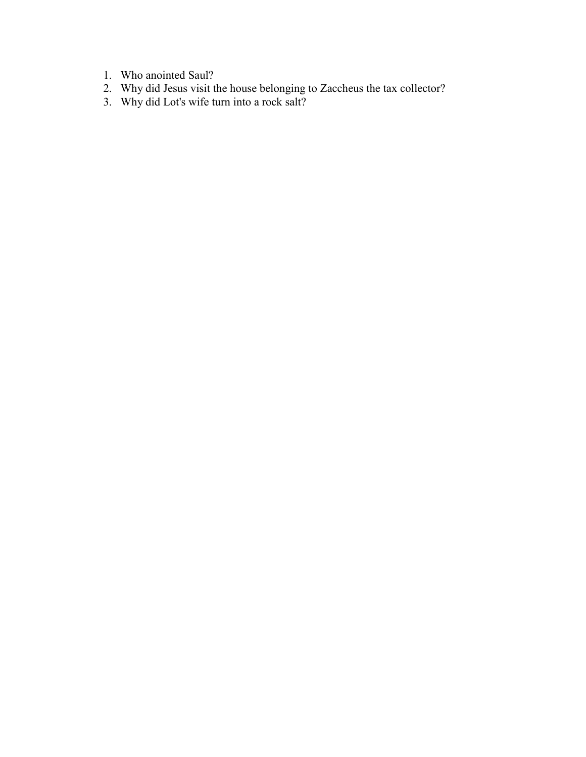- 1. Who anointed Saul?
- 2. Why did Jesus visit the house belonging to Zaccheus the tax collector?
- 3. Why did Lot's wife turn into a rock salt?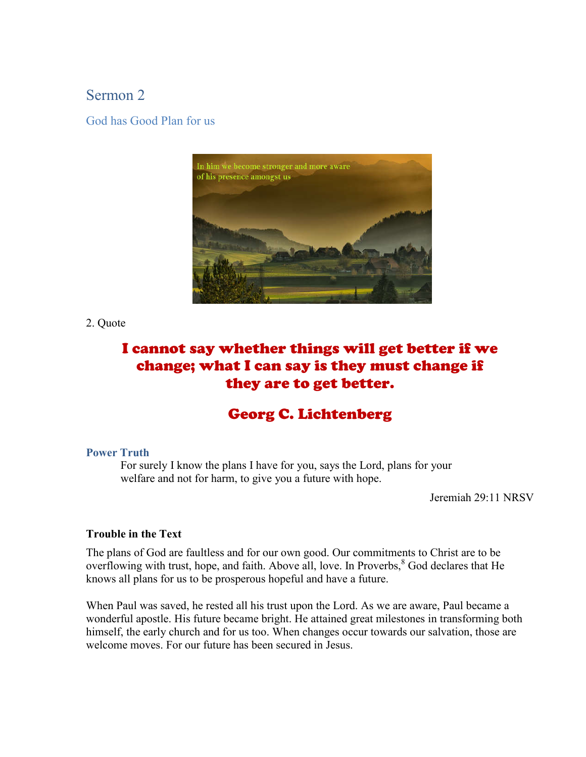# Sermon 2

God has Good Plan for us



2. Quote

# I cannot say whether things will get better if we change; what I can say is they must change if they are to get better.

# Georg C. Lichtenberg

#### **Power Truth**

For surely I know the plans I have for you, says the Lord, plans for your welfare and not for harm, to give you a future with hope.

Jeremiah 29:11 NRSV

### **Trouble in the Text**

The plans of God are faultless and for our own good. Our commitments to Christ are to be overflowing with trust, hope, and faith. Above all, love. In Proverbs,<sup>8</sup> God declares that He knows all plans for us to be prosperous hopeful and have a future.

When Paul was saved, he rested all his trust upon the Lord. As we are aware, Paul became a wonderful apostle. His future became bright. He attained great milestones in transforming both himself, the early church and for us too. When changes occur towards our salvation, those are welcome moves. For our future has been secured in Jesus.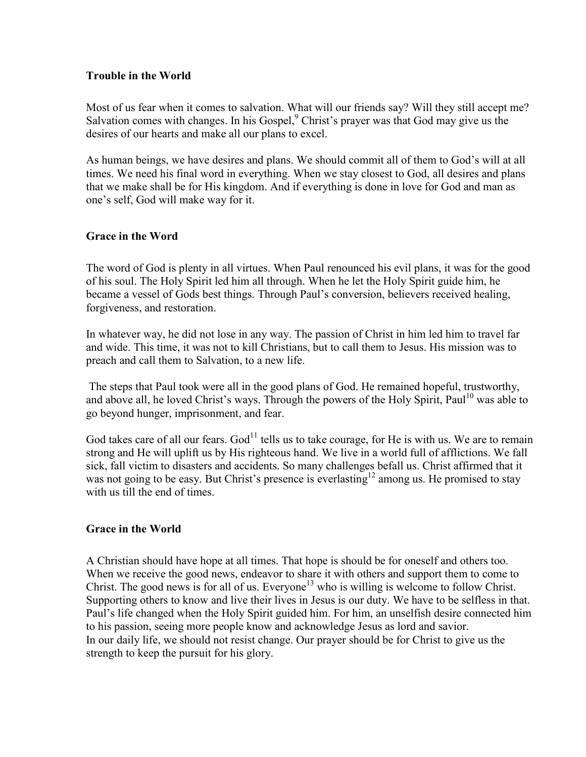#### **Trouble in the World**

Most of us fear when it comes to salvation. What will our friends say? Will they still accept me? Salvation comes with changes. In his Gospel,<sup>9</sup> Christ's prayer was that God may give us the desires of our hearts and make all our plans to excel.

As human beings, we have desires and plans. We should commit all of them to God's will at all times. We need his final word in everything. When we stay closest to God, all desires and plans that we make shall be for His kingdom. And if everything is done in love for God and man as one's self, God will make way for it.

### **Grace in the Word**

The word of God is plenty in all virtues. When Paul renounced his evil plans, it was for the good of his soul. The Holy Spirit led him all through. When he let the Holy Spirit guide him, he became a vessel of Gods best things. Through Paul's conversion, believers received healing, forgiveness, and restoration.

In whatever way, he did not lose in any way. The passion of Christ in him led him to travel far and wide. This time, it was not to kill Christians, but to call them to Jesus. His mission was to preach and call them to Salvation, to a new life.

The steps that Paul took were all in the good plans of God. He remained hopeful, trustworthy, and above all, he loved Christ's ways. Through the powers of the Holy Spirit, Paul<sup>10</sup> was able to go beyond hunger, imprisonment, and fear.

God takes care of all our fears.  $God<sup>11</sup>$  tells us to take courage, for He is with us. We are to remain strong and He will uplift us by His righteous hand. We live in a world full of afflictions. We fall sick, fall victim to disasters and accidents. So many challenges befall us. Christ affirmed that it was not going to be easy. But Christ's presence is everlasting<sup>12</sup> among us. He promised to stay with us till the end of times.

### **Grace in the World**

A Christian should have hope at all times. That hope is should be for oneself and others too. When we receive the good news, endeavor to share it with others and support them to come to Christ. The good news is for all of us. Everyone<sup>13</sup> who is willing is welcome to follow Christ. Supporting others to know and live their lives in Jesus is our duty. We have to be selfless in that. Paul's life changed when the Holy Spirit guided him. For him, an unselfish desire connected him to his passion, seeing more people know and acknowledge Jesus as lord and savior. In our daily life, we should not resist change. Our prayer should be for Christ to give us the strength to keep the pursuit for his glory.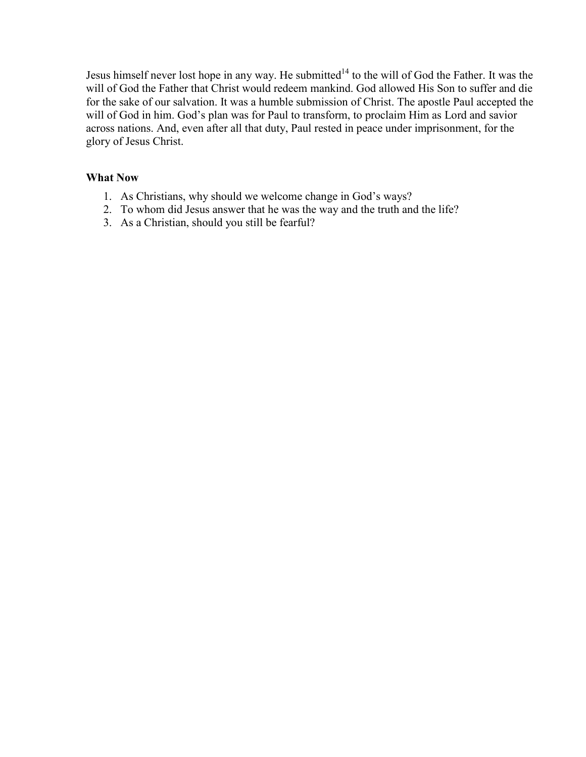Jesus himself never lost hope in any way. He submitted<sup>14</sup> to the will of God the Father. It was the will of God the Father that Christ would redeem mankind. God allowed His Son to suffer and die for the sake of our salvation. It was a humble submission of Christ. The apostle Paul accepted the will of God in him. God's plan was for Paul to transform, to proclaim Him as Lord and savior across nations. And, even after all that duty, Paul rested in peace under imprisonment, for the glory of Jesus Christ.

- 1. As Christians, why should we welcome change in God's ways?
- 2. To whom did Jesus answer that he was the way and the truth and the life?
- 3. As a Christian, should you still be fearful?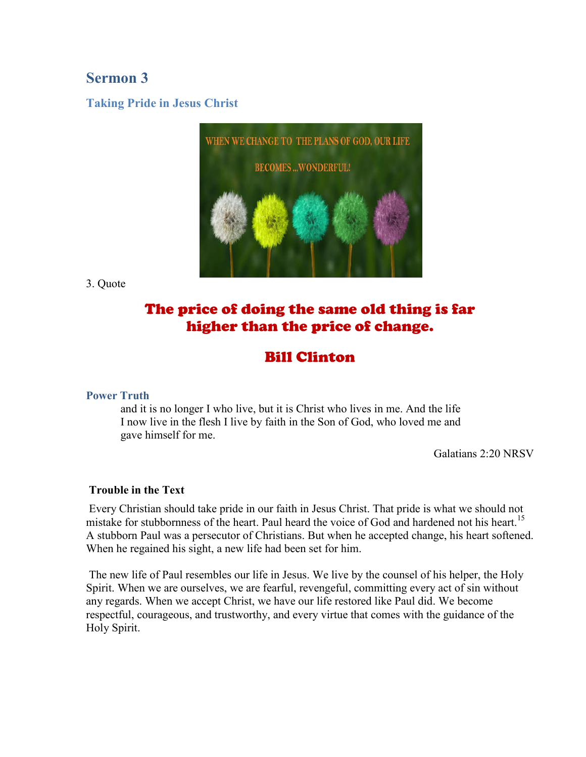# **Sermon 3**

## **Taking Pride in Jesus Christ**



3. Quote

# The price of doing the same old thing is far higher than the price of change.

# Bill Clinton

### **Power Truth**

and it is no longer I who live, but it is Christ who lives in me. And the life I now live in the flesh I live by faith in the Son of God, who loved me and gave himself for me.

Galatians 2:20 NRSV

#### **Trouble in the Text**

Every Christian should take pride in our faith in Jesus Christ. That pride is what we should not mistake for stubbornness of the heart. Paul heard the voice of God and hardened not his heart.<sup>15</sup> A stubborn Paul was a persecutor of Christians. But when he accepted change, his heart softened. When he regained his sight, a new life had been set for him.

The new life of Paul resembles our life in Jesus. We live by the counsel of his helper, the Holy Spirit. When we are ourselves, we are fearful, revengeful, committing every act of sin without any regards. When we accept Christ, we have our life restored like Paul did. We become respectful, courageous, and trustworthy, and every virtue that comes with the guidance of the Holy Spirit.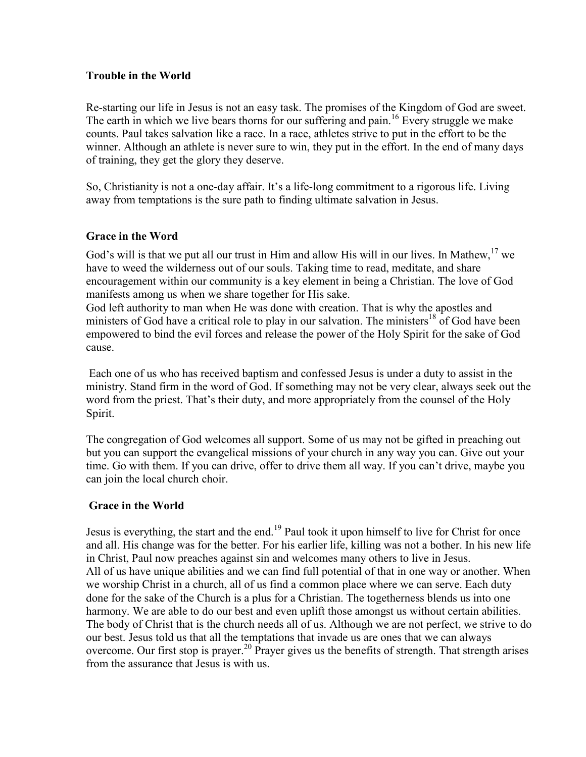#### **Trouble in the World**

Re-starting our life in Jesus is not an easy task. The promises of the Kingdom of God are sweet. The earth in which we live bears thorns for our suffering and pain.<sup>16</sup> Every struggle we make counts. Paul takes salvation like a race. In a race, athletes strive to put in the effort to be the winner. Although an athlete is never sure to win, they put in the effort. In the end of many days of training, they get the glory they deserve.

So, Christianity is not a one-day affair. It's a life-long commitment to a rigorous life. Living away from temptations is the sure path to finding ultimate salvation in Jesus.

### **Grace in the Word**

God's will is that we put all our trust in Him and allow His will in our lives. In Mathew, <sup>17</sup> we have to weed the wilderness out of our souls. Taking time to read, meditate, and share encouragement within our community is a key element in being a Christian. The love of God manifests among us when we share together for His sake.

God left authority to man when He was done with creation. That is why the apostles and ministers of God have a critical role to play in our salvation. The ministers<sup>18</sup> of God have been empowered to bind the evil forces and release the power of the Holy Spirit for the sake of God cause.

Each one of us who has received baptism and confessed Jesus is under a duty to assist in the ministry. Stand firm in the word of God. If something may not be very clear, always seek out the word from the priest. That's their duty, and more appropriately from the counsel of the Holy Spirit.

The congregation of God welcomes all support. Some of us may not be gifted in preaching out but you can support the evangelical missions of your church in any way you can. Give out your time. Go with them. If you can drive, offer to drive them all way. If you can't drive, maybe you can join the local church choir.

#### **Grace in the World**

Jesus is everything, the start and the end.<sup>19</sup> Paul took it upon himself to live for Christ for once and all. His change was for the better. For his earlier life, killing was not a bother. In his new life in Christ, Paul now preaches against sin and welcomes many others to live in Jesus. All of us have unique abilities and we can find full potential of that in one way or another. When we worship Christ in a church, all of us find a common place where we can serve. Each duty done for the sake of the Church is a plus for a Christian. The togetherness blends us into one harmony. We are able to do our best and even uplift those amongst us without certain abilities. The body of Christ that is the church needs all of us. Although we are not perfect, we strive to do our best. Jesus told us that all the temptations that invade us are ones that we can always overcome. Our first stop is prayer.<sup>20</sup> Prayer gives us the benefits of strength. That strength arises from the assurance that Jesus is with us.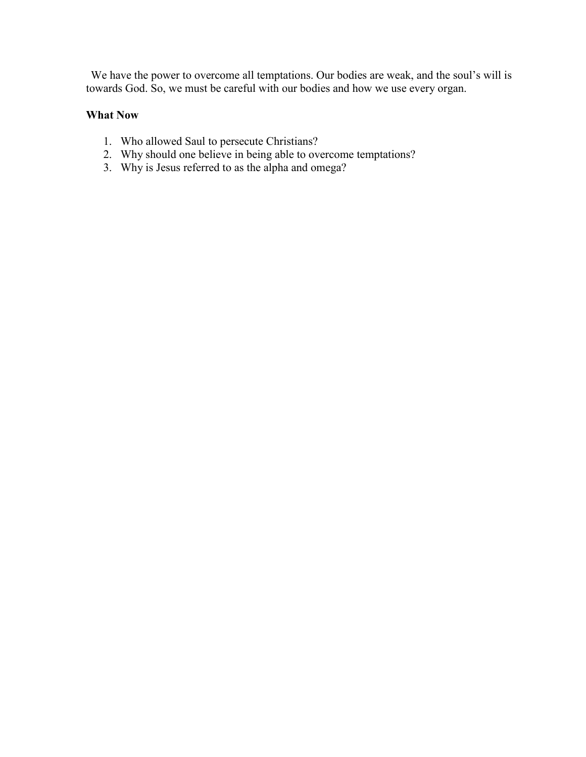We have the power to overcome all temptations. Our bodies are weak, and the soul's will is towards God. So, we must be careful with our bodies and how we use every organ.

- 1. Who allowed Saul to persecute Christians?
- 2. Why should one believe in being able to overcome temptations?
- 3. Why is Jesus referred to as the alpha and omega?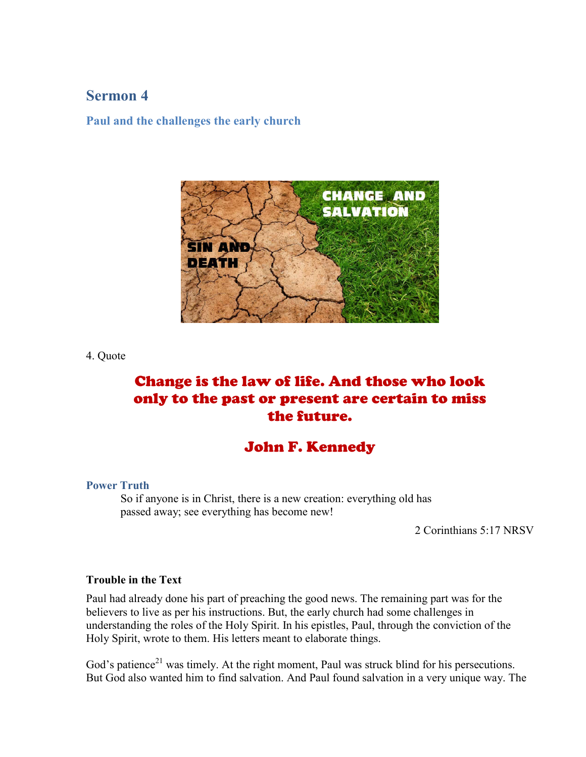# **Sermon 4**

**Paul and the challenges the early church**



4. Quote

# Change is the law of life. And those who look only to the past or present are certain to miss the future.

# John F. Kennedy

#### **Power Truth**

So if anyone is in Christ, there is a new creation: everything old has passed away; see everything has become new!

2 Corinthians 5:17 NRSV

#### **Trouble in the Text**

Paul had already done his part of preaching the good news. The remaining part was for the believers to live as per his instructions. But, the early church had some challenges in understanding the roles of the Holy Spirit. In his epistles, Paul, through the conviction of the Holy Spirit, wrote to them. His letters meant to elaborate things.

God's patience<sup>21</sup> was timely. At the right moment, Paul was struck blind for his persecutions. But God also wanted him to find salvation. And Paul found salvation in a very unique way. The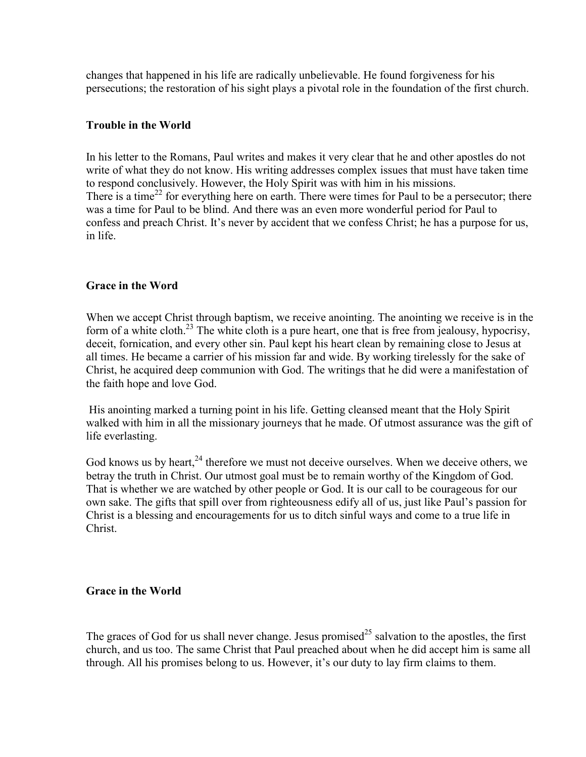changes that happened in his life are radically unbelievable. He found forgiveness for his persecutions; the restoration of his sight plays a pivotal role in the foundation of the first church.

### **Trouble in the World**

In his letter to the Romans, Paul writes and makes it very clear that he and other apostles do not write of what they do not know. His writing addresses complex issues that must have taken time to respond conclusively. However, the Holy Spirit was with him in his missions. There is a time<sup>22</sup> for everything here on earth. There were times for Paul to be a persecutor; there was a time for Paul to be blind. And there was an even more wonderful period for Paul to confess and preach Christ. It's never by accident that we confess Christ; he has a purpose for us, in life.

### **Grace in the Word**

When we accept Christ through baptism, we receive anointing. The anointing we receive is in the form of a white cloth.<sup>23</sup> The white cloth is a pure heart, one that is free from jealousy, hypocrisy, deceit, fornication, and every other sin. Paul kept his heart clean by remaining close to Jesus at all times. He became a carrier of his mission far and wide. By working tirelessly for the sake of Christ, he acquired deep communion with God. The writings that he did were a manifestation of the faith hope and love God.

His anointing marked a turning point in his life. Getting cleansed meant that the Holy Spirit walked with him in all the missionary journeys that he made. Of utmost assurance was the gift of life everlasting.

God knows us by heart, $^{24}$  therefore we must not deceive ourselves. When we deceive others, we betray the truth in Christ. Our utmost goal must be to remain worthy of the Kingdom of God. That is whether we are watched by other people or God. It is our call to be courageous for our own sake. The gifts that spill over from righteousness edify all of us, just like Paul's passion for Christ is a blessing and encouragements for us to ditch sinful ways and come to a true life in Christ.

### **Grace in the World**

The graces of God for us shall never change. Jesus promised<sup>25</sup> salvation to the apostles, the first church, and us too. The same Christ that Paul preached about when he did accept him is same all through. All his promises belong to us. However, it's our duty to lay firm claims to them.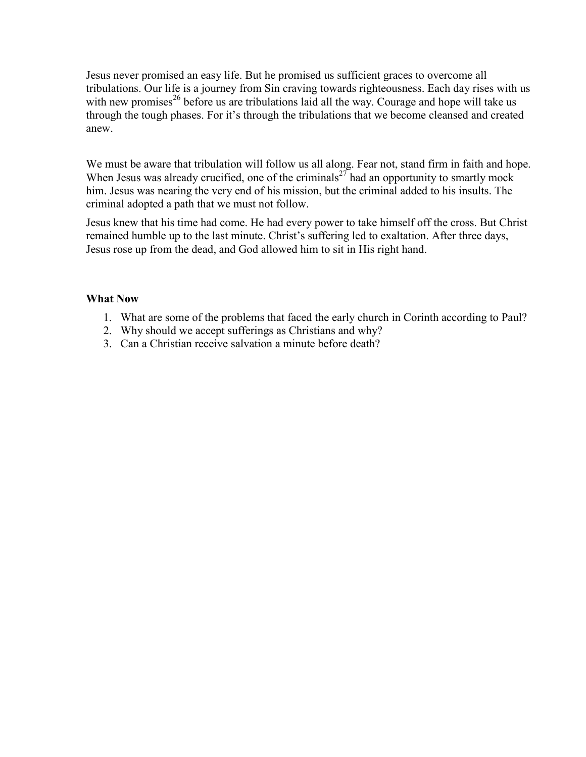Jesus never promised an easy life. But he promised us sufficient graces to overcome all tribulations. Our life is a journey from Sin craving towards righteousness. Each day rises with us with new promises<sup>26</sup> before us are tribulations laid all the way. Courage and hope will take us through the tough phases. For it's through the tribulations that we become cleansed and created anew.

We must be aware that tribulation will follow us all along. Fear not, stand firm in faith and hope. When Jesus was already crucified, one of the criminals<sup>27</sup> had an opportunity to smartly mock him. Jesus was nearing the very end of his mission, but the criminal added to his insults. The criminal adopted a path that we must not follow.

Jesus knew that his time had come. He had every power to take himself off the cross. But Christ remained humble up to the last minute. Christ's suffering led to exaltation. After three days, Jesus rose up from the dead, and God allowed him to sit in His right hand.

- 1. What are some of the problems that faced the early church in Corinth according to Paul?
- 2. Why should we accept sufferings as Christians and why?
- 3. Can a Christian receive salvation a minute before death?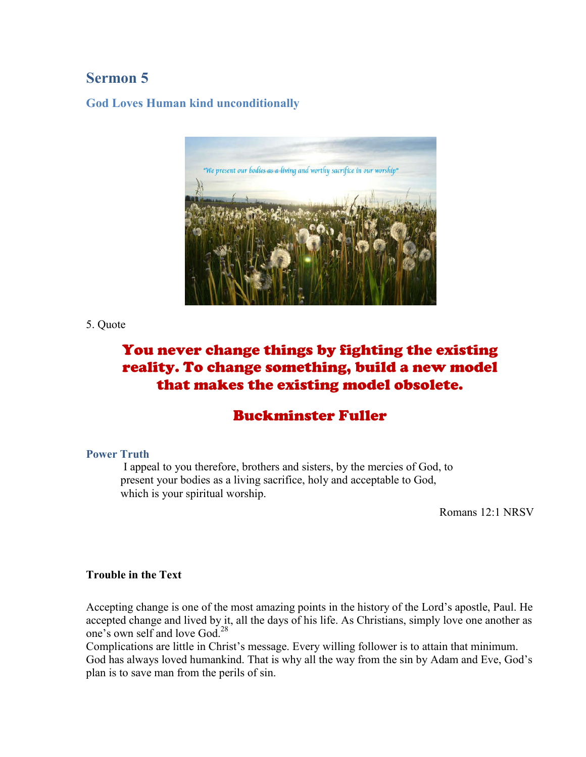# **Sermon 5**

**God Loves Human kind unconditionally**



5. Quote

# You never change things by fighting the existing reality. To change something, build a new model that makes the existing model obsolete.

# Buckminster Fuller

### **Power Truth**

I appeal to you therefore, brothers and sisters, by the mercies of God, to present your bodies as a living sacrifice, holy and acceptable to God, which is your spiritual worship.

Romans 12:1 NRSV

#### **Trouble in the Text**

Accepting change is one of the most amazing points in the history of the Lord's apostle, Paul. He accepted change and lived by it, all the days of his life. As Christians, simply love one another as one's own self and love God. 28

Complications are little in Christ's message. Every willing follower is to attain that minimum. God has always loved humankind. That is why all the way from the sin by Adam and Eve, God's plan is to save man from the perils of sin.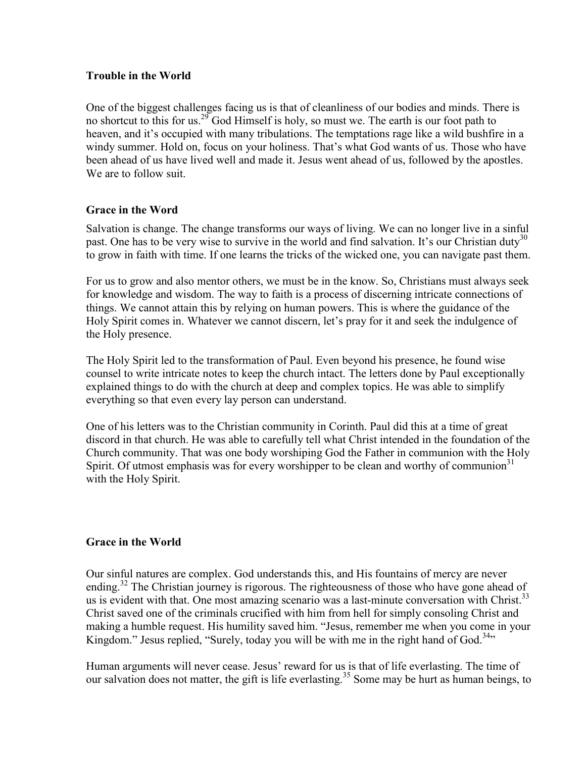### **Trouble in the World**

One of the biggest challenges facing us is that of cleanliness of our bodies and minds. There is no shortcut to this for us.<sup>29</sup> God Himself is holy, so must we. The earth is our foot path to heaven, and it's occupied with many tribulations. The temptations rage like a wild bushfire in a windy summer. Hold on, focus on your holiness. That's what God wants of us. Those who have been ahead of us have lived well and made it. Jesus went ahead of us, followed by the apostles. We are to follow suit.

### **Grace in the Word**

Salvation is change. The change transforms our ways of living. We can no longer live in a sinful past. One has to be very wise to survive in the world and find salvation. It's our Christian duty<sup>30</sup> to grow in faith with time. If one learns the tricks of the wicked one, you can navigate past them.

For us to grow and also mentor others, we must be in the know. So, Christians must always seek for knowledge and wisdom. The way to faith is a process of discerning intricate connections of things. We cannot attain this by relying on human powers. This is where the guidance of the Holy Spirit comes in. Whatever we cannot discern, let's pray for it and seek the indulgence of the Holy presence.

The Holy Spirit led to the transformation of Paul. Even beyond his presence, he found wise counsel to write intricate notes to keep the church intact. The letters done by Paul exceptionally explained things to do with the church at deep and complex topics. He was able to simplify everything so that even every lay person can understand.

One of his letters was to the Christian community in Corinth. Paul did this at a time of great discord in that church. He was able to carefully tell what Christ intended in the foundation of the Church community. That was one body worshiping God the Father in communion with the Holy Spirit. Of utmost emphasis was for every worshipper to be clean and worthy of communion<sup>31</sup> with the Holy Spirit.

### **Grace in the World**

Our sinful natures are complex. God understands this, and His fountains of mercy are never ending.<sup>32</sup> The Christian journey is rigorous. The righteousness of those who have gone ahead of us is evident with that. One most amazing scenario was a last-minute conversation with Christ.<sup>33</sup> Christ saved one of the criminals crucified with him from hell for simply consoling Christ and making a humble request. His humility saved him. "Jesus, remember me when you come in your Kingdom." Jesus replied, "Surely, today you will be with me in the right hand of God.<sup>34</sup>"

Human arguments will never cease. Jesus' reward for us is that of life everlasting. The time of our salvation does not matter, the gift is life everlasting. <sup>35</sup> Some may be hurt as human beings, to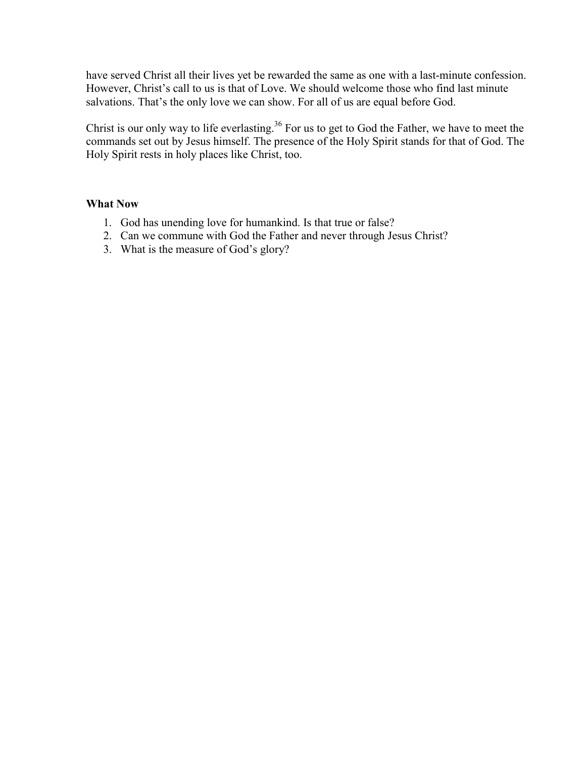have served Christ all their lives yet be rewarded the same as one with a last-minute confession. However, Christ's call to us is that of Love. We should welcome those who find last minute salvations. That's the only love we can show. For all of us are equal before God.

Christ is our only way to life everlasting.<sup>36</sup> For us to get to God the Father, we have to meet the commands set out by Jesus himself. The presence of the Holy Spirit stands for that of God. The Holy Spirit rests in holy places like Christ, too.

- 1. God has unending love for humankind. Is that true or false?
- 2. Can we commune with God the Father and never through Jesus Christ?
- 3. What is the measure of God's glory?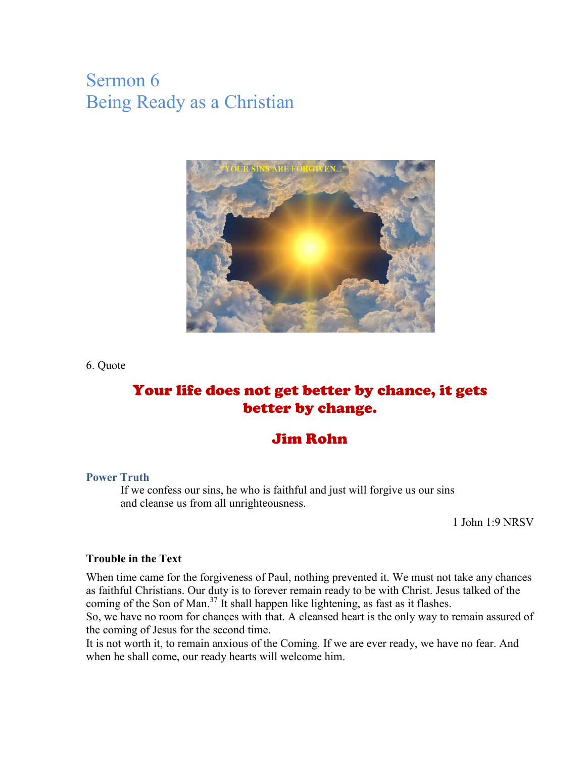# Sermon 6 Being Ready as a Christian



6. Quote

# Your life does not get better by chance, it gets better by change.

# Jim Rohn

#### **Power Truth**

If we confess our sins, he who is faithful and just will forgive us our sins and cleanse us from all unrighteousness.

1 John 1:9 NRSV

#### **Trouble in the Text**

When time came for the forgiveness of Paul, nothing prevented it. We must not take any chances as faithful Christians. Our duty is to forever remain ready to be with Christ. Jesus talked of the coming of the Son of Man.<sup>37</sup> It shall happen like lightening, as fast as it flashes.

So, we have no room for chances with that. A cleansed heart is the only way to remain assured of the coming of Jesus for the second time.

It is not worth it, to remain anxious of the Coming. If we are ever ready, we have no fear. And when he shall come, our ready hearts will welcome him.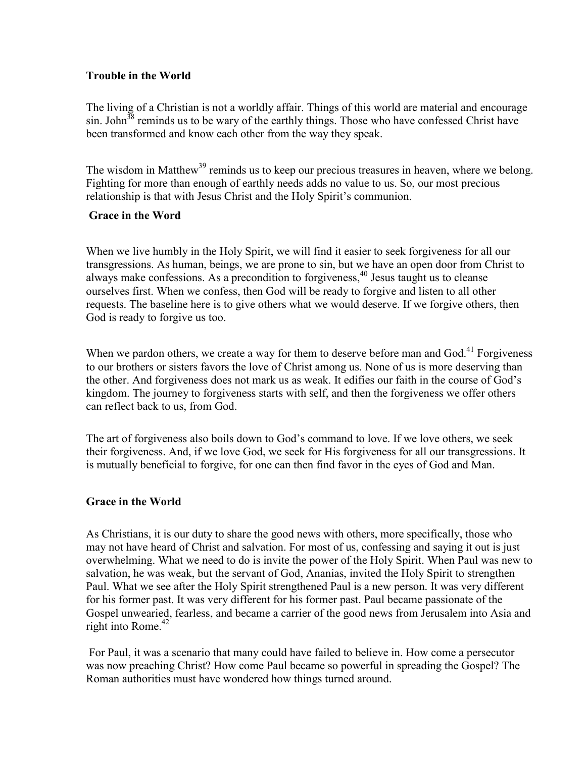### **Trouble in the World**

The living of a Christian is not a worldly affair. Things of this world are material and encourage sin. John $38$  reminds us to be wary of the earthly things. Those who have confessed Christ have been transformed and know each other from the way they speak.

The wisdom in Matthew<sup>39</sup> reminds us to keep our precious treasures in heaven, where we belong. Fighting for more than enough of earthly needs adds no value to us. So, our most precious relationship is that with Jesus Christ and the Holy Spirit's communion.

### **Grace in the Word**

When we live humbly in the Holy Spirit, we will find it easier to seek forgiveness for all our transgressions. As human, beings, we are prone to sin, but we have an open door from Christ to always make confessions. As a precondition to forgiveness, <sup>40</sup> Jesus taught us to cleanse ourselves first. When we confess, then God will be ready to forgive and listen to all other requests. The baseline here is to give others what we would deserve. If we forgive others, then God is ready to forgive us too.

When we pardon others, we create a way for them to deserve before man and God.<sup>41</sup> Forgiveness to our brothers or sisters favors the love of Christ among us. None of us is more deserving than the other. And forgiveness does not mark us as weak. It edifies our faith in the course of God's kingdom. The journey to forgiveness starts with self, and then the forgiveness we offer others can reflect back to us, from God.

The art of forgiveness also boils down to God's command to love. If we love others, we seek their forgiveness. And, if we love God, we seek for His forgiveness for all our transgressions. It is mutually beneficial to forgive, for one can then find favor in the eyes of God and Man.

### **Grace in the World**

As Christians, it is our duty to share the good news with others, more specifically, those who may not have heard of Christ and salvation. For most of us, confessing and saying it out is just overwhelming. What we need to do is invite the power of the Holy Spirit. When Paul was new to salvation, he was weak, but the servant of God, Ananias, invited the Holy Spirit to strengthen Paul. What we see after the Holy Spirit strengthened Paul is a new person. It was very different for his former past. It was very different for his former past. Paul became passionate of the Gospel unwearied, fearless, and became a carrier of the good news from Jerusalem into Asia and right into Rome. 42

For Paul, it was a scenario that many could have failed to believe in. How come a persecutor was now preaching Christ? How come Paul became so powerful in spreading the Gospel? The Roman authorities must have wondered how things turned around.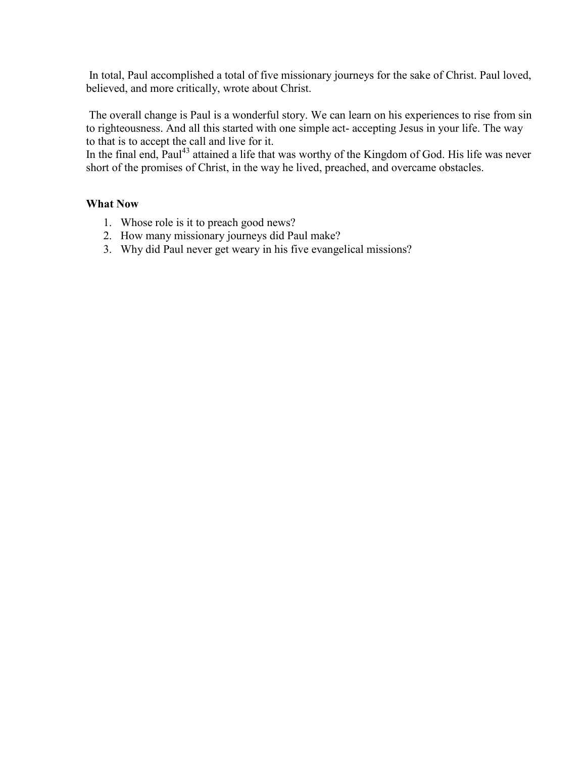In total, Paul accomplished a total of five missionary journeys for the sake of Christ. Paul loved, believed, and more critically, wrote about Christ.

The overall change is Paul is a wonderful story. We can learn on his experiences to rise from sin to righteousness. And all this started with one simple act- accepting Jesus in your life. The way to that is to accept the call and live for it.

In the final end, Paul<sup>43</sup> attained a life that was worthy of the Kingdom of God. His life was never short of the promises of Christ, in the way he lived, preached, and overcame obstacles.

- 1. Whose role is it to preach good news?
- 2. How many missionary journeys did Paul make?
- 3. Why did Paul never get weary in his five evangelical missions?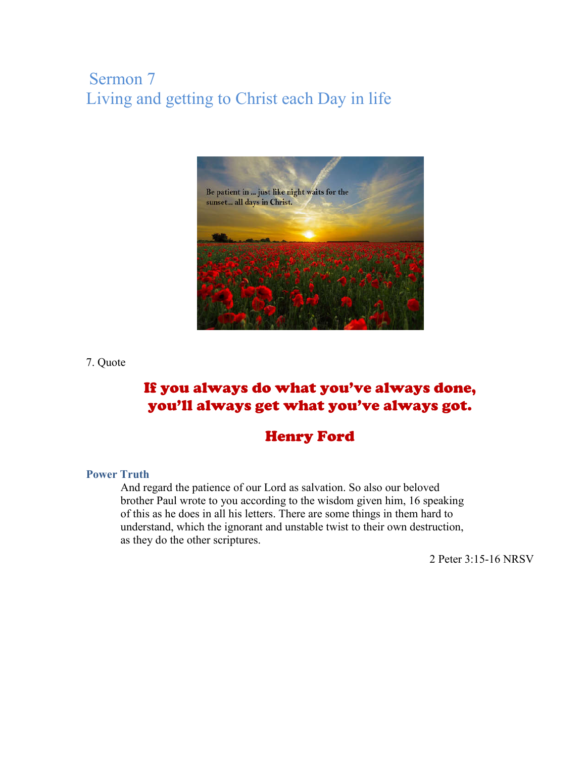# Sermon 7 Living and getting to Christ each Day in life



#### 7. Quote

# If you always do what you've always done, you'll always get what you've always got.

# Henry Ford

### **Power Truth**

And regard the patience of our Lord as salvation. So also our beloved brother Paul wrote to you according to the wisdom given him, 16 speaking of this as he does in all his letters. There are some things in them hard to understand, which the ignorant and unstable twist to their own destruction, as they do the other scriptures.

2 Peter 3:15-16 NRSV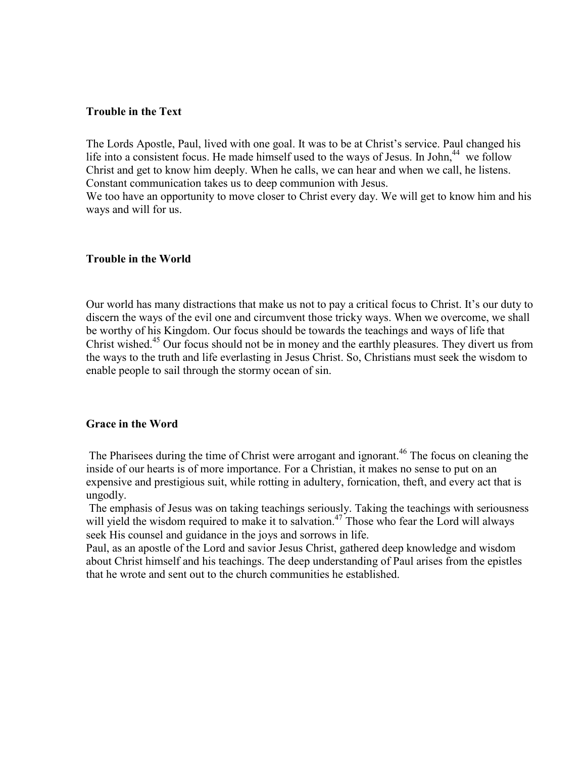#### **Trouble in the Text**

The Lords Apostle, Paul, lived with one goal. It was to be at Christ's service. Paul changed his life into a consistent focus. He made himself used to the ways of Jesus. In John,<sup>44</sup> we follow Christ and get to know him deeply. When he calls, we can hear and when we call, he listens. Constant communication takes us to deep communion with Jesus.

We too have an opportunity to move closer to Christ every day. We will get to know him and his ways and will for us.

#### **Trouble in the World**

Our world has many distractions that make us not to pay a critical focus to Christ. It's our duty to discern the ways of the evil one and circumvent those tricky ways. When we overcome, we shall be worthy of his Kingdom. Our focus should be towards the teachings and ways of life that Christ wished. <sup>45</sup> Our focus should not be in money and the earthly pleasures. They divert us from the ways to the truth and life everlasting in Jesus Christ. So, Christians must seek the wisdom to enable people to sail through the stormy ocean of sin.

#### **Grace in the Word**

The Pharisees during the time of Christ were arrogant and ignorant.<sup>46</sup> The focus on cleaning the inside of our hearts is of more importance. For a Christian, it makes no sense to put on an expensive and prestigious suit, while rotting in adultery, fornication, theft, and every act that is ungodly.

The emphasis of Jesus was on taking teachings seriously. Taking the teachings with seriousness will yield the wisdom required to make it to salvation.<sup>47</sup> Those who fear the Lord will always seek His counsel and guidance in the joys and sorrows in life.

Paul, as an apostle of the Lord and savior Jesus Christ, gathered deep knowledge and wisdom about Christ himself and his teachings. The deep understanding of Paul arises from the epistles that he wrote and sent out to the church communities he established.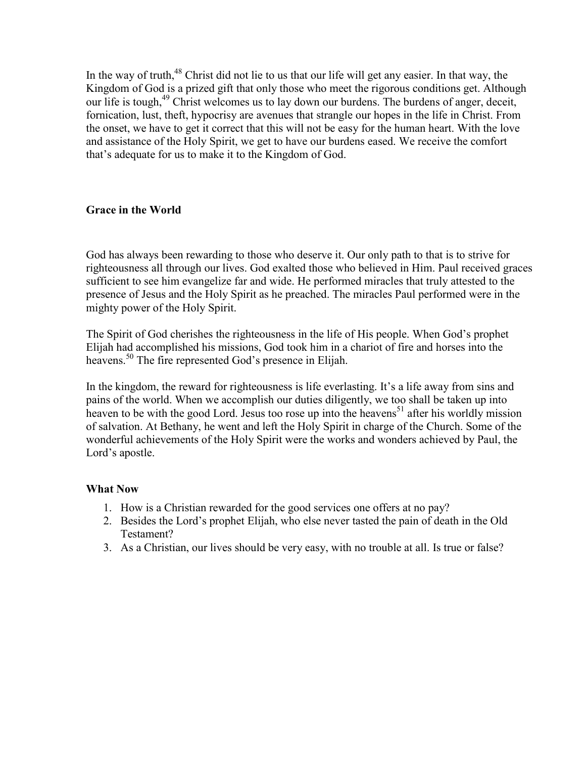In the way of truth, <sup>48</sup> Christ did not lie to us that our life will get any easier. In that way, the Kingdom of God is a prized gift that only those who meet the rigorous conditions get. Although our life is tough, <sup>49</sup> Christ welcomes us to lay down our burdens. The burdens of anger, deceit, fornication, lust, theft, hypocrisy are avenues that strangle our hopes in the life in Christ. From the onset, we have to get it correct that this will not be easy for the human heart. With the love and assistance of the Holy Spirit, we get to have our burdens eased. We receive the comfort that's adequate for us to make it to the Kingdom of God.

### **Grace in the World**

God has always been rewarding to those who deserve it. Our only path to that is to strive for righteousness all through our lives. God exalted those who believed in Him. Paul received graces sufficient to see him evangelize far and wide. He performed miracles that truly attested to the presence of Jesus and the Holy Spirit as he preached. The miracles Paul performed were in the mighty power of the Holy Spirit.

The Spirit of God cherishes the righteousness in the life of His people. When God's prophet Elijah had accomplished his missions, God took him in a chariot of fire and horses into the heavens. <sup>50</sup> The fire represented God's presence in Elijah.

In the kingdom, the reward for righteousness is life everlasting. It's a life away from sins and pains of the world. When we accomplish our duties diligently, we too shall be taken up into heaven to be with the good Lord. Jesus too rose up into the heavens<sup>51</sup> after his worldly mission of salvation. At Bethany, he went and left the Holy Spirit in charge of the Church. Some of the wonderful achievements of the Holy Spirit were the works and wonders achieved by Paul, the Lord's apostle.

- 1. How is a Christian rewarded for the good services one offers at no pay?
- 2. Besides the Lord's prophet Elijah, who else never tasted the pain of death in the Old Testament?
- 3. As a Christian, our lives should be very easy, with no trouble at all. Is true or false?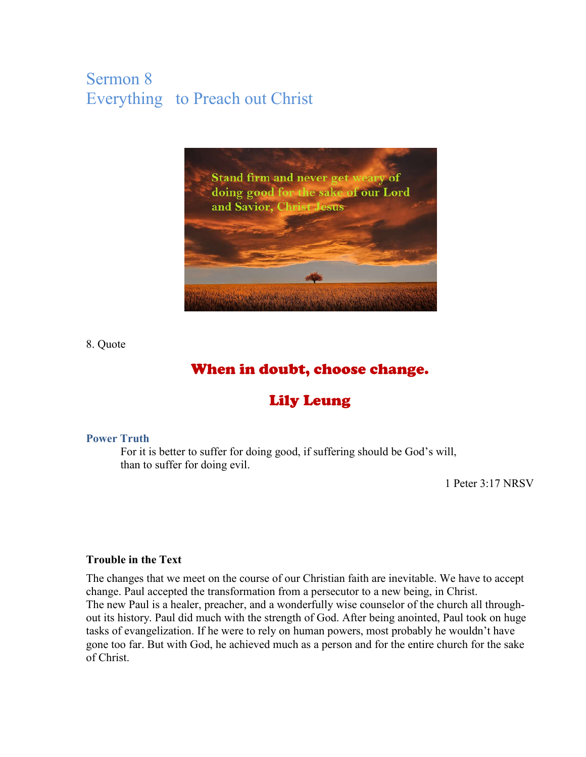# Sermon 8 Everything to Preach out Christ



8. Quote

# When in doubt, choose change.

# Lily Leung

#### **Power Truth**

For it is better to suffer for doing good, if suffering should be God's will, than to suffer for doing evil.

1 Peter 3:17 NRSV

### **Trouble in the Text**

The changes that we meet on the course of our Christian faith are inevitable. We have to accept change. Paul accepted the transformation from a persecutor to a new being, in Christ. The new Paul is a healer, preacher, and a wonderfully wise counselor of the church all throughout its history. Paul did much with the strength of God. After being anointed, Paul took on huge tasks of evangelization. If he were to rely on human powers, most probably he wouldn't have gone too far. But with God, he achieved much as a person and for the entire church for the sake of Christ.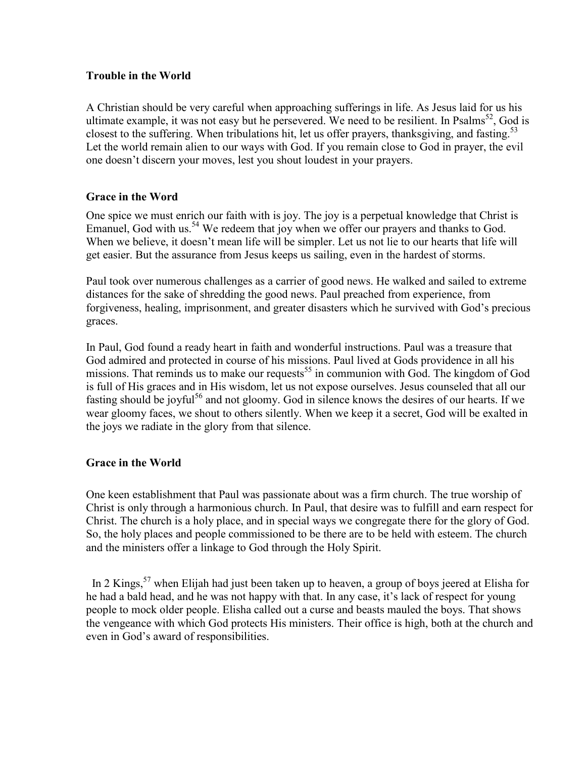#### **Trouble in the World**

A Christian should be very careful when approaching sufferings in life. As Jesus laid for us his ultimate example, it was not easy but he persevered. We need to be resilient. In Psalms<sup>52</sup>, God is closest to the suffering. When tribulations hit, let us offer prayers, thanksgiving, and fasting.<sup>53</sup> Let the world remain alien to our ways with God. If you remain close to God in prayer, the evil one doesn't discern your moves, lest you shout loudest in your prayers.

### **Grace in the Word**

One spice we must enrich our faith with is joy. The joy is a perpetual knowledge that Christ is Emanuel, God with us.<sup>54</sup> We redeem that joy when we offer our prayers and thanks to God. When we believe, it doesn't mean life will be simpler. Let us not lie to our hearts that life will get easier. But the assurance from Jesus keeps us sailing, even in the hardest of storms.

Paul took over numerous challenges as a carrier of good news. He walked and sailed to extreme distances for the sake of shredding the good news. Paul preached from experience, from forgiveness, healing, imprisonment, and greater disasters which he survived with God's precious graces.

In Paul, God found a ready heart in faith and wonderful instructions. Paul was a treasure that God admired and protected in course of his missions. Paul lived at Gods providence in all his missions. That reminds us to make our requests<sup>55</sup> in communion with God. The kingdom of God is full of His graces and in His wisdom, let us not expose ourselves. Jesus counseled that all our fasting should be joyful<sup>56</sup> and not gloomy. God in silence knows the desires of our hearts. If we wear gloomy faces, we shout to others silently. When we keep it a secret, God will be exalted in the joys we radiate in the glory from that silence.

### **Grace in the World**

One keen establishment that Paul was passionate about was a firm church. The true worship of Christ is only through a harmonious church. In Paul, that desire was to fulfill and earn respect for Christ. The church is a holy place, and in special ways we congregate there for the glory of God. So, the holy places and people commissioned to be there are to be held with esteem. The church and the ministers offer a linkage to God through the Holy Spirit.

In 2 Kings,<sup>57</sup> when Elijah had just been taken up to heaven, a group of boys jeered at Elisha for he had a bald head, and he was not happy with that. In any case, it's lack of respect for young people to mock older people. Elisha called out a curse and beasts mauled the boys. That shows the vengeance with which God protects His ministers. Their office is high, both at the church and even in God's award of responsibilities.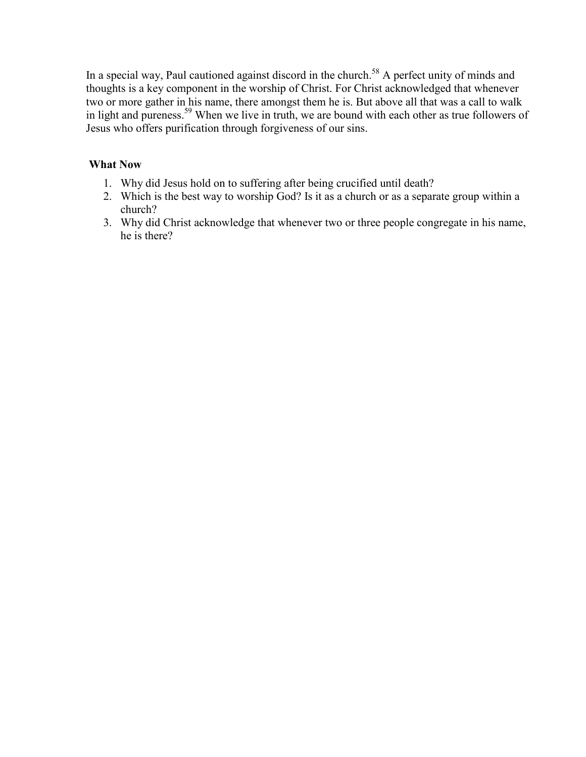In a special way, Paul cautioned against discord in the church.<sup>58</sup> A perfect unity of minds and thoughts is a key component in the worship of Christ. For Christ acknowledged that whenever two or more gather in his name, there amongst them he is. But above all that was a call to walk in light and pureness.<sup>59</sup> When we live in truth, we are bound with each other as true followers of Jesus who offers purification through forgiveness of our sins.

- 1. Why did Jesus hold on to suffering after being crucified until death?
- 2. Which is the best way to worship God? Is it as a church or as a separate group within a church?
- 3. Why did Christ acknowledge that whenever two or three people congregate in his name, he is there?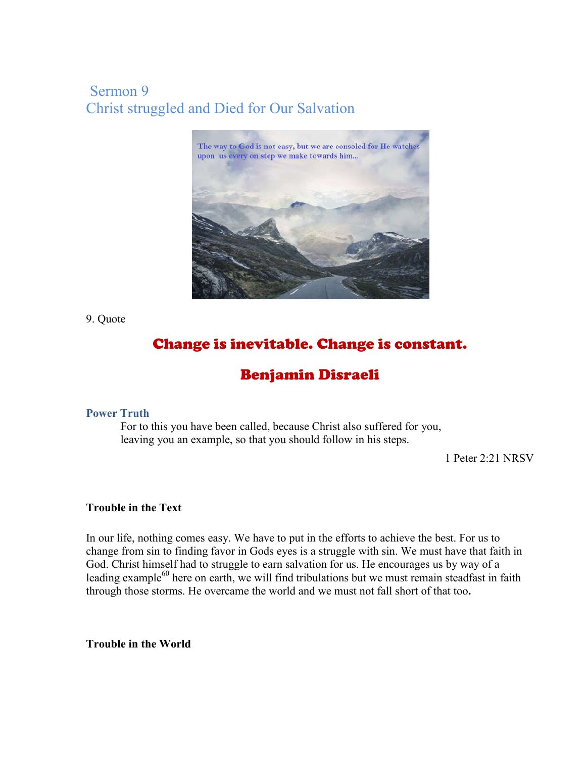# Sermon 9 Christ struggled and Died for Our Salvation



9. Quote

# Change is inevitable. Change is constant.

# Benjamin Disraeli

### **Power Truth**

For to this you have been called, because Christ also suffered for you, leaving you an example, so that you should follow in his steps.

1 Peter 2:21 NRSV

### **Trouble in the Text**

In our life, nothing comes easy. We have to put in the efforts to achieve the best. For us to change from sin to finding favor in Gods eyes is a struggle with sin. We must have that faith in God. Christ himself had to struggle to earn salvation for us. He encourages us by way of a leading example<sup>60</sup> here on earth, we will find tribulations but we must remain steadfast in faith through those storms. He overcame the world and we must not fall short of that too**.**

**Trouble in the World**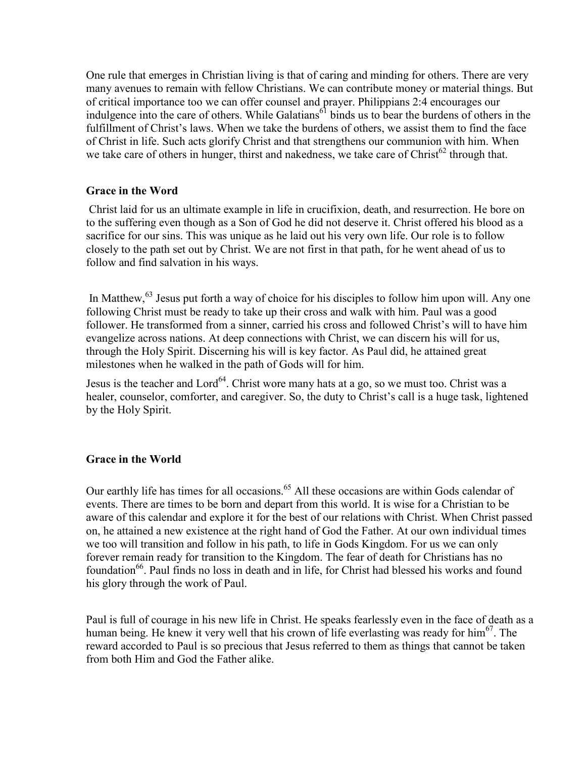One rule that emerges in Christian living is that of caring and minding for others. There are very many avenues to remain with fellow Christians. We can contribute money or material things. But of critical importance too we can offer counsel and prayer. Philippians 2:4 encourages our indulgence into the care of others. While Galatians<sup>61</sup> binds us to bear the burdens of others in the fulfillment of Christ's laws. When we take the burdens of others, we assist them to find the face of Christ in life. Such acts glorify Christ and that strengthens our communion with him. When we take care of others in hunger, thirst and nakedness, we take care of Christ<sup>62</sup> through that.

### **Grace in the Word**

Christ laid for us an ultimate example in life in crucifixion, death, and resurrection. He bore on to the suffering even though as a Son of God he did not deserve it. Christ offered his blood as a sacrifice for our sins. This was unique as he laid out his very own life. Our role is to follow closely to the path set out by Christ. We are not first in that path, for he went ahead of us to follow and find salvation in his ways.

In Matthew, <sup>63</sup> Jesus put forth a way of choice for his disciples to follow him upon will. Any one following Christ must be ready to take up their cross and walk with him. Paul was a good follower. He transformed from a sinner, carried his cross and followed Christ's will to have him evangelize across nations. At deep connections with Christ, we can discern his will for us, through the Holy Spirit. Discerning his will is key factor. As Paul did, he attained great milestones when he walked in the path of Gods will for him.

Jesus is the teacher and Lord<sup>64</sup>. Christ wore many hats at a go, so we must too. Christ was a healer, counselor, comforter, and caregiver. So, the duty to Christ's call is a huge task, lightened by the Holy Spirit.

#### **Grace in the World**

Our earthly life has times for all occasions. <sup>65</sup> All these occasions are within Gods calendar of events. There are times to be born and depart from this world. It is wise for a Christian to be aware of this calendar and explore it for the best of our relations with Christ. When Christ passed on, he attained a new existence at the right hand of God the Father. At our own individual times we too will transition and follow in his path, to life in Gods Kingdom. For us we can only forever remain ready for transition to the Kingdom. The fear of death for Christians has no foundation<sup>66</sup>. Paul finds no loss in death and in life, for Christ had blessed his works and found his glory through the work of Paul.

Paul is full of courage in his new life in Christ. He speaks fearlessly even in the face of death as a human being. He knew it very well that his crown of life everlasting was ready for him<sup>67</sup>. The reward accorded to Paul is so precious that Jesus referred to them as things that cannot be taken from both Him and God the Father alike.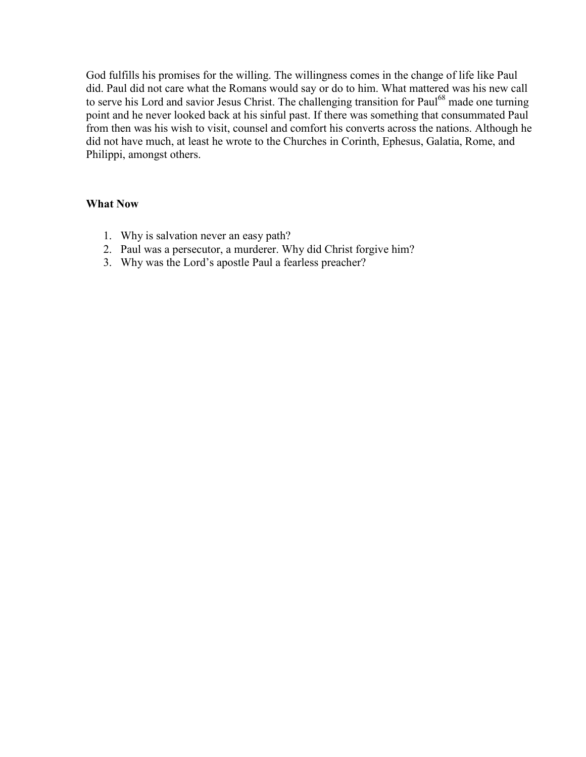God fulfills his promises for the willing. The willingness comes in the change of life like Paul did. Paul did not care what the Romans would say or do to him. What mattered was his new call to serve his Lord and savior Jesus Christ. The challenging transition for Paul<sup>68</sup> made one turning point and he never looked back at his sinful past. If there was something that consummated Paul from then was his wish to visit, counsel and comfort his converts across the nations. Although he did not have much, at least he wrote to the Churches in Corinth, Ephesus, Galatia, Rome, and Philippi, amongst others.

- 1. Why is salvation never an easy path?
- 2. Paul was a persecutor, a murderer. Why did Christ forgive him?
- 3. Why was the Lord's apostle Paul a fearless preacher?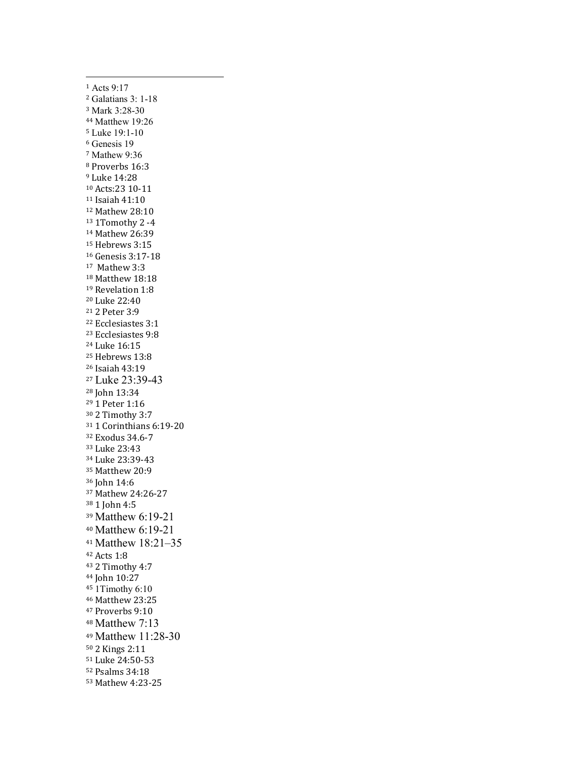Acts 9:17 Galatians 3: 1-18 Mark 3:28-30 Matthew 19:26 Luke 19:1-10 Genesis 19 Mathew 9:36 Proverbs 16:3 Luke 14:28 Acts:23 10-11 Isaiah 41:10 Mathew 28:10 1Tomothy 2 -4 Mathew 26:39 Hebrews 3:15 Genesis 3:17-18 Mathew 3:3 <sup>18</sup> Matthew 18:18<br><sup>19</sup> Revelation 1:8 Luke 22:40 2 Peter 3:9 Ecclesiastes 3:1 Ecclesiastes 9:8 Luke 16:15 Hebrews 13:8 Isaiah 43:19 Luke 23:39-43 John 13:34 1 Peter 1:16 2 Timothy 3:7 1 Corinthians 6:19-20 Exodus 34.6-7 Luke 23:43 Luke 23:39-43 Matthew 20:9 John 14:6 Mathew 24:26-27 1 John 4:5 Matthew 6:19-21 Matthew 6:19-21 Matthew 18:21–35 Acts 1:8 2 Timothy 4:7 John 10:27 1Timothy 6:10 Matthew 23:25 Proverbs 9:10 Matthew 7:13 Matthew 11:28-30 2 Kings 2:11 Luke 24:50-53 Psalms 34:18 Mathew 4:23-25